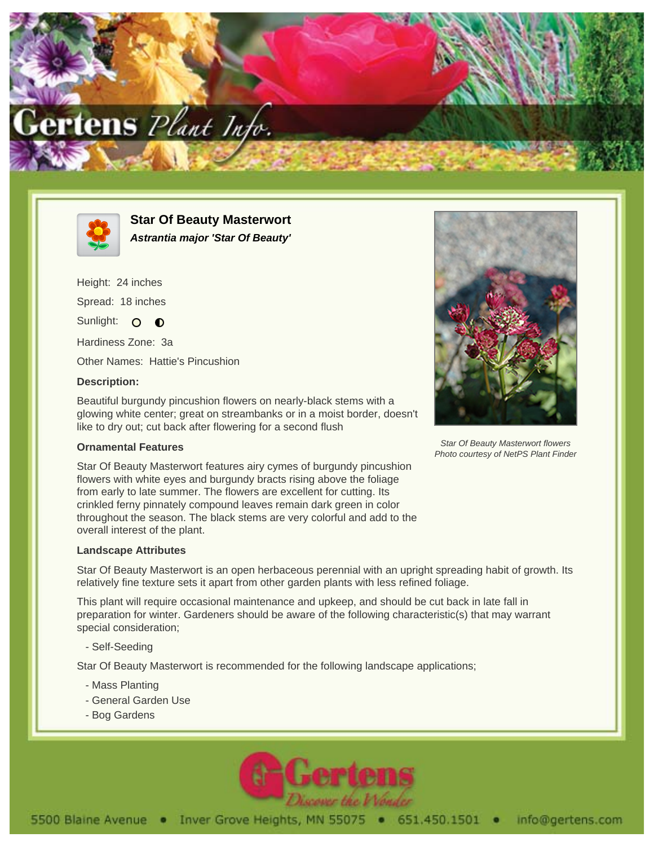



**Star Of Beauty Masterwort Astrantia major 'Star Of Beauty'**

Height: 24 inches Spread: 18 inches Sunlight: O O Hardiness Zone: 3a

Other Names: Hattie's Pincushion

## **Description:**

Beautiful burgundy pincushion flowers on nearly-black stems with a glowing white center; great on streambanks or in a moist border, doesn't like to dry out; cut back after flowering for a second flush

## **Ornamental Features**

Star Of Beauty Masterwort features airy cymes of burgundy pincushion flowers with white eyes and burgundy bracts rising above the foliage from early to late summer. The flowers are excellent for cutting. Its crinkled ferny pinnately compound leaves remain dark green in color throughout the season. The black stems are very colorful and add to the overall interest of the plant.

## **Landscape Attributes**

Star Of Beauty Masterwort is an open herbaceous perennial with an upright spreading habit of growth. Its relatively fine texture sets it apart from other garden plants with less refined foliage.

This plant will require occasional maintenance and upkeep, and should be cut back in late fall in preparation for winter. Gardeners should be aware of the following characteristic(s) that may warrant special consideration;

- Self-Seeding

Star Of Beauty Masterwort is recommended for the following landscape applications;

- Mass Planting
- General Garden Use
- Bog Gardens





Star Of Beauty Masterwort flowers Photo courtesy of NetPS Plant Finder